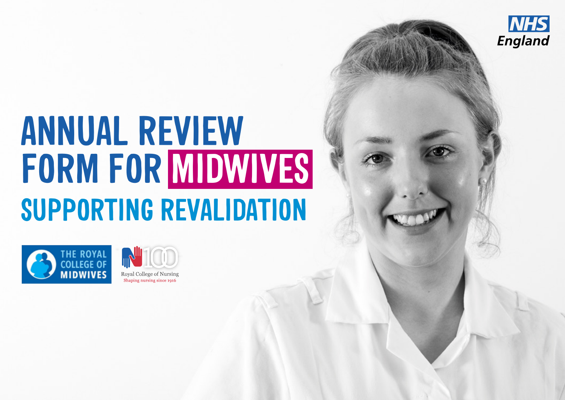

# **ANNUAL REVIEW FORM FOR MIDWIVES SUPPORTING REVALIDATION**



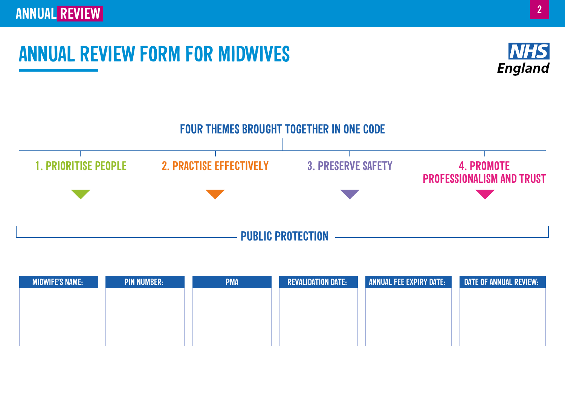## **ANNUAL REVIEW FORM FOR MIDWIVES**





| <b>MIDWIFE'S NAME:</b> | <b>PIN NUMBER:</b> | <b>PMA</b> | <b>REVALIDATION DATE:</b> | <b>ANNUAL FEE EXPIRY DATE:</b> | DATE OF ANNUAL REVIEW: |
|------------------------|--------------------|------------|---------------------------|--------------------------------|------------------------|
|                        |                    |            |                           |                                |                        |
|                        |                    |            |                           |                                |                        |
|                        |                    |            |                           |                                |                        |
|                        |                    |            |                           |                                |                        |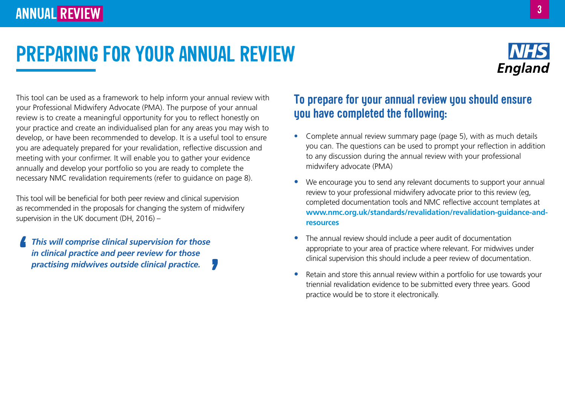## **PREPARING FOR YOUR ANNUAL REVIEW**



This tool can be used as a framework to help inform your annual review with your Professional Midwifery Advocate (PMA). The purpose of your annual review is to create a meaningful opportunity for you to reflect honestly on your practice and create an individualised plan for any areas you may wish to develop, or have been recommended to develop. It is a useful tool to ensure you are adequately prepared for your revalidation, reflective discussion and meeting with your confirmer. It will enable you to gather your evidence annually and develop your portfolio so you are ready to complete the necessary NMC revalidation requirements (refer to guidance on page 8).

This tool will be beneficial for both peer review and clinical supervision as recommended in the proposals for changing the system of midwifery supervision in the UK document (DH, 2016) –

*This will comprise clinical supervision for those in clinical practice and peer review for those practising midwives outside clinical practice.*

### **To prepare for your annual review you should ensure you have completed the following:**

- **•** Complete annual review summary page (page 5), with as much details you can. The questions can be used to prompt your reflection in addition to any discussion during the annual review with your professional midwifery advocate (PMA)
- **•** We encourage you to send any relevant documents to support your annual review to your professional midwifery advocate prior to this review (eg, completed documentation tools and NMC reflective account templates at **[www.nmc.org.uk/standards/revalidation/revalidation-guidance-and](http://www.nmc.org.uk/standards/revalidation/revalidation-guidance-and-resources)[resources](http://www.nmc.org.uk/standards/revalidation/revalidation-guidance-and-resources)**
- **•** The annual review should include a peer audit of documentation appropriate to your area of practice where relevant. For midwives under clinical supervision this should include a peer review of documentation.
- **•** Retain and store this annual review within a portfolio for use towards your triennial revalidation evidence to be submitted every three years. Good practice would be to store it electronically.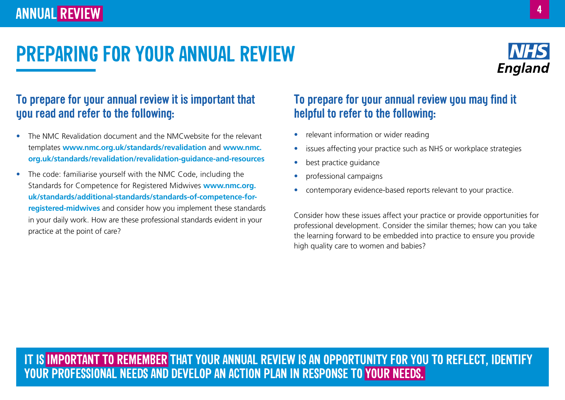## **PREPARING FOR YOUR ANNUAL REVIEW**



### **To prepare for your annual review it is important that you read and refer to the following:**

- **•** The NMC Revalidation document and the NMCwebsite for the relevant templates **[www.nmc.org.uk/standards/revalidation](http://www.nmc.org.uk/standards/revalidation)** and **[www.nmc.](http://www.nmc.org.uk/standards/revalidation/revalidation-guidance-and-resources) [org.uk/standards/revalidation/revalidation-guidance-and-resources](http://www.nmc.org.uk/standards/revalidation/revalidation-guidance-and-resources)**
- **•** The code: familiarise yourself with the NMC Code, including the Standards for Competence for Registered Midwives **[www.nmc.org.](http://www.nmc.org.uk/standards/additional-standards/standards-of-competence-for-registered-midwives) [uk/standards/additional-standards/standards-of-competence-for](http://www.nmc.org.uk/standards/additional-standards/standards-of-competence-for-registered-midwives)[registered-midwives](http://www.nmc.org.uk/standards/additional-standards/standards-of-competence-for-registered-midwives)** and consider how you implement these standards in your daily work. How are these professional standards evident in your practice at the point of care?

### **To prepare for your annual review you may find it helpful to refer to the following:**

- **•** relevant information or wider reading
- **•** issues affecting your practice such as NHS or workplace strategies
- **•** best practice guidance
- **•** professional campaigns
- **•** contemporary evidence-based reports relevant to your practice.

Consider how these issues affect your practice or provide opportunities for professional development. Consider the similar themes; how can you take the learning forward to be embedded into practice to ensure you provide high quality care to women and babies?

**IT IS IMPORTANT TO REMEMBER THAT YOUR ANNUAL REVIEW IS AN OPPORTUNITY FOR YOU TO REFLECT, IDENTIFY YOUR PROFESSIONAL NEEDS AND DEVELOP AN ACTION PLAN IN RESPONSE TO YOUR NEEDS.**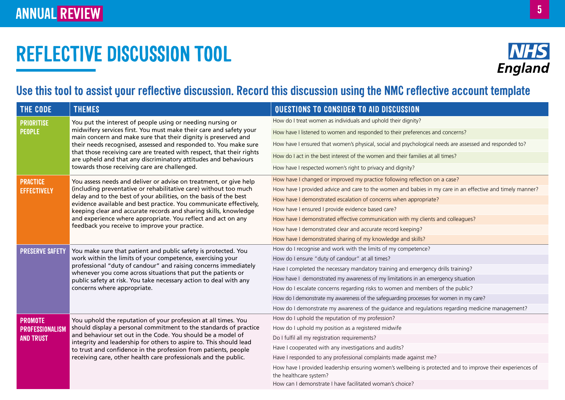## **REFLECTIVE DISCUSSION TOOL**



### **Use this tool to assist your reflective discussion. Record this discussion using the NMC reflective account template**

| THE CODE               | <b>THEMES</b>                                                                                                                                                                                                                                                                                                                                                                                                                                                          | QUESTIONS TO CONSIDER TO AID DISCUSSION                                                                                              |  |
|------------------------|------------------------------------------------------------------------------------------------------------------------------------------------------------------------------------------------------------------------------------------------------------------------------------------------------------------------------------------------------------------------------------------------------------------------------------------------------------------------|--------------------------------------------------------------------------------------------------------------------------------------|--|
| <b>PRIORITISE</b>      | You put the interest of people using or needing nursing or                                                                                                                                                                                                                                                                                                                                                                                                             | How do I treat women as individuals and uphold their dignity?                                                                        |  |
| <b>PEOPLE</b>          | midwifery services first. You must make their care and safety your<br>main concern and make sure that their dignity is preserved and                                                                                                                                                                                                                                                                                                                                   | How have I listened to women and responded to their preferences and concerns?                                                        |  |
|                        | their needs recognised, assessed and responded to. You make sure                                                                                                                                                                                                                                                                                                                                                                                                       | How have I ensured that women's physical, social and psychological needs are assessed and responded to?                              |  |
|                        | that those receiving care are treated with respect, that their rights<br>are upheld and that any discriminatory attitudes and behaviours                                                                                                                                                                                                                                                                                                                               | How do I act in the best interest of the women and their families at all times?                                                      |  |
|                        | towards those receiving care are challenged.                                                                                                                                                                                                                                                                                                                                                                                                                           | How have I respected women's right to privacy and dignity?                                                                           |  |
| <b>PRACTICE</b>        | You assess needs and deliver or advise on treatment, or give help<br>(including preventative or rehabilitative care) without too much<br>delay and to the best of your abilities, on the basis of the best<br>evidence available and best practice. You communicate effectively,<br>keeping clear and accurate records and sharing skills, knowledge<br>and experience where appropriate. You reflect and act on any<br>feedback you receive to improve your practice. | How have I changed or improved my practice following reflection on a case?                                                           |  |
| <b>EFFECTIVELY</b>     |                                                                                                                                                                                                                                                                                                                                                                                                                                                                        | How have I provided advice and care to the women and babies in my care in an effective and timely manner?                            |  |
|                        |                                                                                                                                                                                                                                                                                                                                                                                                                                                                        | How have I demonstrated escalation of concerns when appropriate?                                                                     |  |
|                        |                                                                                                                                                                                                                                                                                                                                                                                                                                                                        | How have I ensured I provide evidence based care?                                                                                    |  |
|                        |                                                                                                                                                                                                                                                                                                                                                                                                                                                                        | How have I demonstrated effective communication with my clients and colleagues?                                                      |  |
|                        |                                                                                                                                                                                                                                                                                                                                                                                                                                                                        | How have I demonstrated clear and accurate record keeping?                                                                           |  |
|                        |                                                                                                                                                                                                                                                                                                                                                                                                                                                                        | How have I demonstrated sharing of my knowledge and skills?                                                                          |  |
| <b>PRESERVE SAFETY</b> | You make sure that patient and public safety is protected. You<br>work within the limits of your competence, exercising your<br>professional "duty of candour" and raising concerns immediately<br>whenever you come across situations that put the patients or<br>public safety at risk. You take necessary action to deal with any<br>concerns where appropriate.                                                                                                    | How do I recognise and work with the limits of my competence?                                                                        |  |
|                        |                                                                                                                                                                                                                                                                                                                                                                                                                                                                        | How do I ensure "duty of candour" at all times?                                                                                      |  |
|                        |                                                                                                                                                                                                                                                                                                                                                                                                                                                                        | Have I completed the necessary mandatory training and emergency drills training?                                                     |  |
|                        |                                                                                                                                                                                                                                                                                                                                                                                                                                                                        | How have I demonstrated my awareness of my limitations in an emergency situation                                                     |  |
|                        |                                                                                                                                                                                                                                                                                                                                                                                                                                                                        | How do I escalate concerns regarding risks to women and members of the public?                                                       |  |
|                        |                                                                                                                                                                                                                                                                                                                                                                                                                                                                        | How do I demonstrate my awareness of the safeguarding processes for women in my care?                                                |  |
|                        |                                                                                                                                                                                                                                                                                                                                                                                                                                                                        | How do I demonstrate my awareness of the quidance and regulations regarding medicine management?                                     |  |
| <b>PROMOTE</b>         | You uphold the reputation of your profession at all times. You<br>should display a personal commitment to the standards of practice<br>and behaviour set out in the Code. You should be a model of<br>integrity and leadership for others to aspire to. This should lead<br>to trust and confidence in the profession from patients, people<br>receiving care, other health care professionals and the public.                                                         | How do I uphold the reputation of my profession?                                                                                     |  |
| <b>PROFESSIONALISM</b> |                                                                                                                                                                                                                                                                                                                                                                                                                                                                        | How do I uphold my position as a registered midwife                                                                                  |  |
| <b>AND TRUST</b>       |                                                                                                                                                                                                                                                                                                                                                                                                                                                                        | Do I fulfil all my registration requirements?                                                                                        |  |
|                        |                                                                                                                                                                                                                                                                                                                                                                                                                                                                        | Have I cooperated with any investigations and audits?                                                                                |  |
|                        |                                                                                                                                                                                                                                                                                                                                                                                                                                                                        | Have I responded to any professional complaints made against me?                                                                     |  |
|                        |                                                                                                                                                                                                                                                                                                                                                                                                                                                                        | How have I provided leadership ensuring women's wellbeing is protected and to improve their experiences of<br>the healthcare system? |  |
|                        |                                                                                                                                                                                                                                                                                                                                                                                                                                                                        | How can I demonstrate I have facilitated woman's choice?                                                                             |  |
|                        |                                                                                                                                                                                                                                                                                                                                                                                                                                                                        |                                                                                                                                      |  |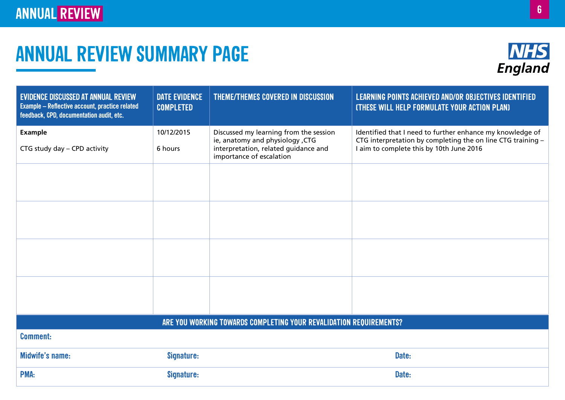## **ANNUAL REVIEW SUMMARY PAGE**



| <b>EVIDENCE DISCUSSED AT ANNUAL REVIEW</b><br>Example - Reflective account, practice related<br>feedback, CPD, documentation audit, etc. | <b>DATE EVIDENCE</b><br><b>COMPLETED</b> | THEME/THEMES COVERED IN DISCUSSION                                                                                                             | LEARNING POINTS ACHIEVED AND/OR OBJECTIVES IDENTIFIED<br><b>ITHESE WILL HELP FORMULATE YOUR ACTION PLANI</b>                                                         |
|------------------------------------------------------------------------------------------------------------------------------------------|------------------------------------------|------------------------------------------------------------------------------------------------------------------------------------------------|----------------------------------------------------------------------------------------------------------------------------------------------------------------------|
| <b>Example</b><br>CTG study day - CPD activity                                                                                           | 10/12/2015<br>6 hours                    | Discussed my learning from the session<br>ie, anatomy and physiology , CTG<br>interpretation, related guidance and<br>importance of escalation | Identified that I need to further enhance my knowledge of<br>CTG interpretation by completing the on line CTG training -<br>I aim to complete this by 10th June 2016 |
|                                                                                                                                          |                                          |                                                                                                                                                |                                                                                                                                                                      |
|                                                                                                                                          |                                          |                                                                                                                                                |                                                                                                                                                                      |
|                                                                                                                                          |                                          |                                                                                                                                                |                                                                                                                                                                      |
|                                                                                                                                          |                                          |                                                                                                                                                |                                                                                                                                                                      |
|                                                                                                                                          |                                          | ARE YOU WORKING TOWARDS COMPLETING YOUR REVALIDATION REQUIREMENTS?                                                                             |                                                                                                                                                                      |
| <b>Comment:</b>                                                                                                                          |                                          |                                                                                                                                                |                                                                                                                                                                      |
| <b>Midwife's name:</b>                                                                                                                   | Signature:                               |                                                                                                                                                | Date:                                                                                                                                                                |
| <b>PMA:</b>                                                                                                                              | Signature:                               |                                                                                                                                                | Date:                                                                                                                                                                |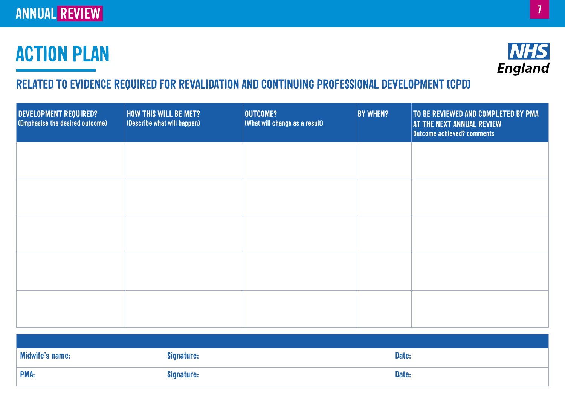### **ANNUAL REVIEW <sup>7</sup>**

## **ACTION PLAN**



### **RELATED TO EVIDENCE REQUIRED FOR REVALIDATION AND CONTINUING PROFESSIONAL DEVELOPMENT (CPD)**

| <b>DEVELOPMENT REQUIRED?</b><br><b>(Emphasise the desired outcome)</b> | <b>HOW THIS WILL BE MET?</b><br>(Describe what will happen) | OUTCOME?<br><b>(What will change as a result)</b> | <b>BY WHEN?</b> | TO BE REVIEWED AND COMPLETED BY PMA<br><b>AT THE NEXT ANNUAL REVIEW</b><br>Outcome achieved? comments |
|------------------------------------------------------------------------|-------------------------------------------------------------|---------------------------------------------------|-----------------|-------------------------------------------------------------------------------------------------------|
|                                                                        |                                                             |                                                   |                 |                                                                                                       |
|                                                                        |                                                             |                                                   |                 |                                                                                                       |
|                                                                        |                                                             |                                                   |                 |                                                                                                       |
|                                                                        |                                                             |                                                   |                 |                                                                                                       |
|                                                                        |                                                             |                                                   |                 |                                                                                                       |

| <b>Midwife's name:</b> | Signature: | Date: |
|------------------------|------------|-------|
| <b>PMA:</b>            | Signature: | Date: |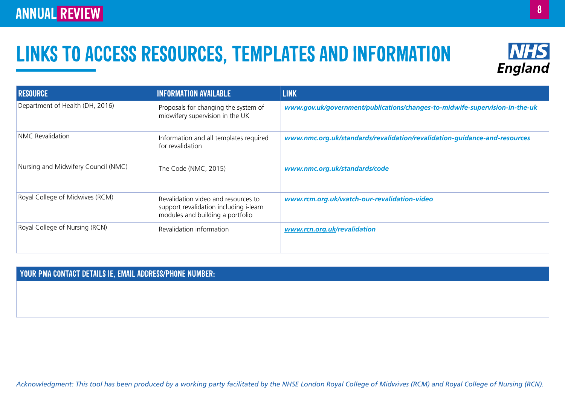## **LINKS TO ACCESS RESOURCES, TEMPLATES AND INFORMATION**



| <b>RESOURCE</b>                     | <b>INFORMATION AVAILABLE</b>                                                                                      | <b>LINK</b>                                                                 |
|-------------------------------------|-------------------------------------------------------------------------------------------------------------------|-----------------------------------------------------------------------------|
| Department of Health (DH, 2016)     | Proposals for changing the system of<br>midwifery supervision in the UK                                           | www.gov.uk/government/publications/changes-to-midwife-supervision-in-the-uk |
| NMC Revalidation                    | Information and all templates required<br>for revalidation                                                        | www.nmc.org.uk/standards/revalidation/revalidation-guidance-and-resources   |
| Nursing and Midwifery Council (NMC) | The Code (NMC, 2015)                                                                                              | www.nmc.org.uk/standards/code                                               |
| Royal College of Midwives (RCM)     | Revalidation video and resources to<br>support revalidation including i-learn<br>modules and building a portfolio | www.rcm.org.uk/watch-our-revalidation-video                                 |
| Royal College of Nursing (RCN)      | Revalidation information                                                                                          | www.rcn.org.uk/revalidation                                                 |

#### **YOUR PMA CONTACT DETAILS IE, EMAIL ADDRESS/PHONE NUMBER:**

*Acknowledgment: This tool has been produced by a working party facilitated by the NHSE London Royal College of Midwives (RCM) and Royal College of Nursing (RCN).*